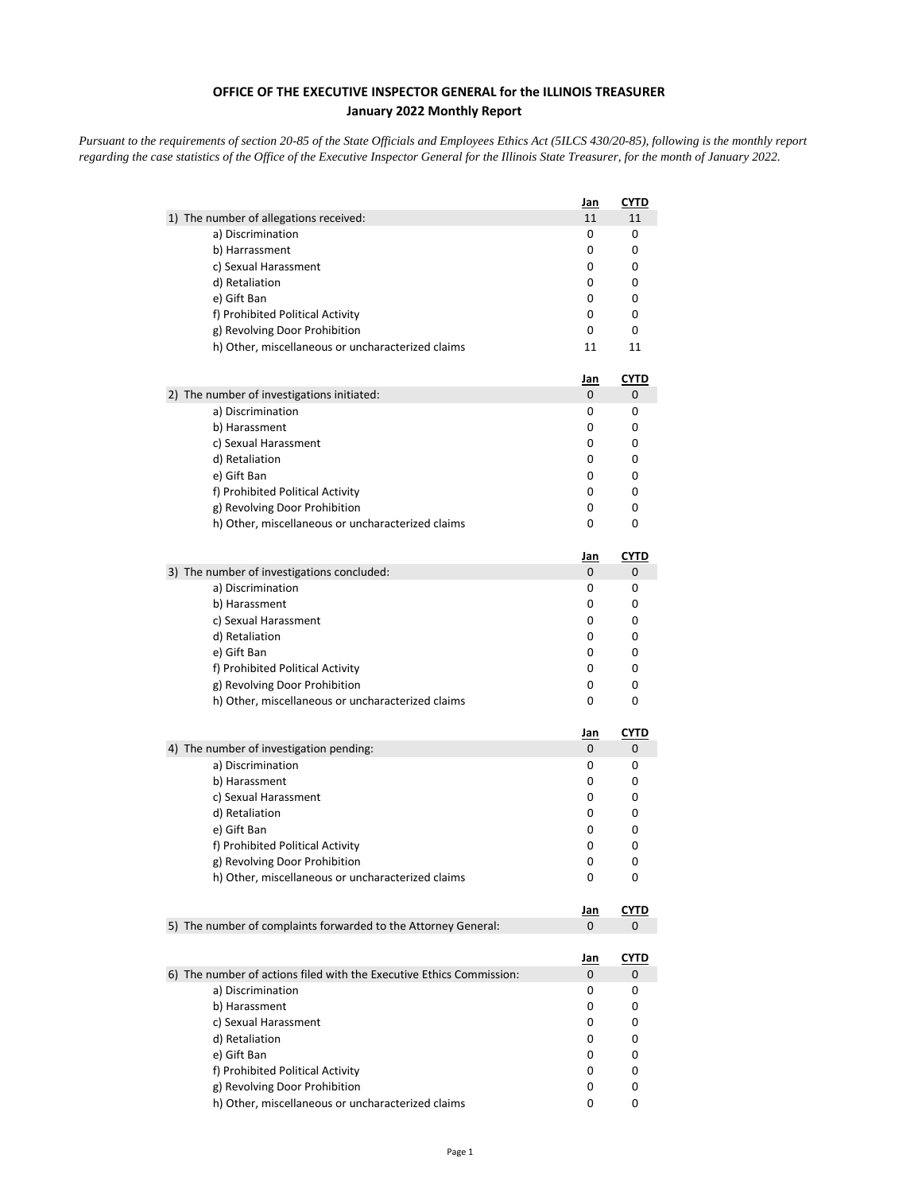## **OFFICE OF THE EXECUTIVE INSPECTOR GENERAL for the ILLINOIS TREASURER January 2022 Monthly Report**

*Pursuant to the requirements of section 20-85 of the State Officials and Employees Ethics Act (5ILCS 430/20-85), following is the monthly report regarding the case statistics of the Office of the Executive Inspector General for the Illinois State Treasurer, for the month of January 2022.* 

|                                                                      | <u>Jan</u> | <u>CYTD</u> |
|----------------------------------------------------------------------|------------|-------------|
| 1) The number of allegations received:                               | 11         | 11          |
| a) Discrimination                                                    | 0          | 0           |
| b) Harrassment                                                       | 0          | 0           |
| c) Sexual Harassment                                                 | 0          | 0           |
| d) Retaliation                                                       | 0          | 0           |
| e) Gift Ban                                                          | 0          | 0           |
| f) Prohibited Political Activity                                     | 0          | 0           |
| g) Revolving Door Prohibition                                        | 0          | 0           |
| h) Other, miscellaneous or uncharacterized claims                    | 11         | 11          |
|                                                                      | Jan        | <b>CYTD</b> |
| 2) The number of investigations initiated:                           | 0          | 0           |
| a) Discrimination                                                    | 0          | 0           |
| b) Harassment                                                        | 0          | 0           |
| c) Sexual Harassment                                                 | 0          | 0           |
| d) Retaliation                                                       | 0          | 0           |
| e) Gift Ban                                                          | 0          | 0           |
| f) Prohibited Political Activity                                     | 0          | 0           |
| g) Revolving Door Prohibition                                        | 0          | 0           |
| h) Other, miscellaneous or uncharacterized claims                    | 0          | 0           |
|                                                                      | <u>Jan</u> | <b>CYTD</b> |
| 3) The number of investigations concluded:                           | 0          | 0           |
| a) Discrimination                                                    | 0          | 0           |
| b) Harassment                                                        | 0          | 0           |
| c) Sexual Harassment                                                 | 0          | 0           |
| d) Retaliation                                                       | 0          | 0           |
| e) Gift Ban                                                          | 0          | 0           |
| f) Prohibited Political Activity                                     | 0          | 0           |
| g) Revolving Door Prohibition                                        | 0          | 0           |
| h) Other, miscellaneous or uncharacterized claims                    | 0          | 0           |
|                                                                      | <u>Jan</u> | <u>CYTD</u> |
| 4) The number of investigation pending:                              | 0          | 0           |
| a) Discrimination                                                    | 0          | 0           |
| b) Harassment                                                        | 0          | 0           |
| c) Sexual Harassment                                                 | 0          | 0           |
| d) Retaliation                                                       | 0          | 0           |
| e) Gift Ban                                                          | 0          | 0           |
| f) Prohibited Political Activity                                     | 0          | 0           |
| g) Revolving Door Prohibition                                        | 0          | 0           |
| h) Other, miscellaneous or uncharacterized claims                    | 0          | 0           |
|                                                                      | <u>Jan</u> | CYTD        |
| 5) The number of complaints forwarded to the Attorney General:       | 0          | 0           |
|                                                                      | <u>Jan</u> | <u>CYTD</u> |
| 6) The number of actions filed with the Executive Ethics Commission: | 0          | 0           |
| a) Discrimination                                                    | 0          | 0           |
| b) Harassment                                                        | 0          | 0           |
| c) Sexual Harassment                                                 | 0          | 0           |
| d) Retaliation                                                       | 0          | 0           |
| e) Gift Ban                                                          | 0          | 0           |
| f) Prohibited Political Activity                                     | 0          | 0           |
| g) Revolving Door Prohibition                                        | 0          | 0           |
| h) Other, miscellaneous or uncharacterized claims                    | 0          | 0           |